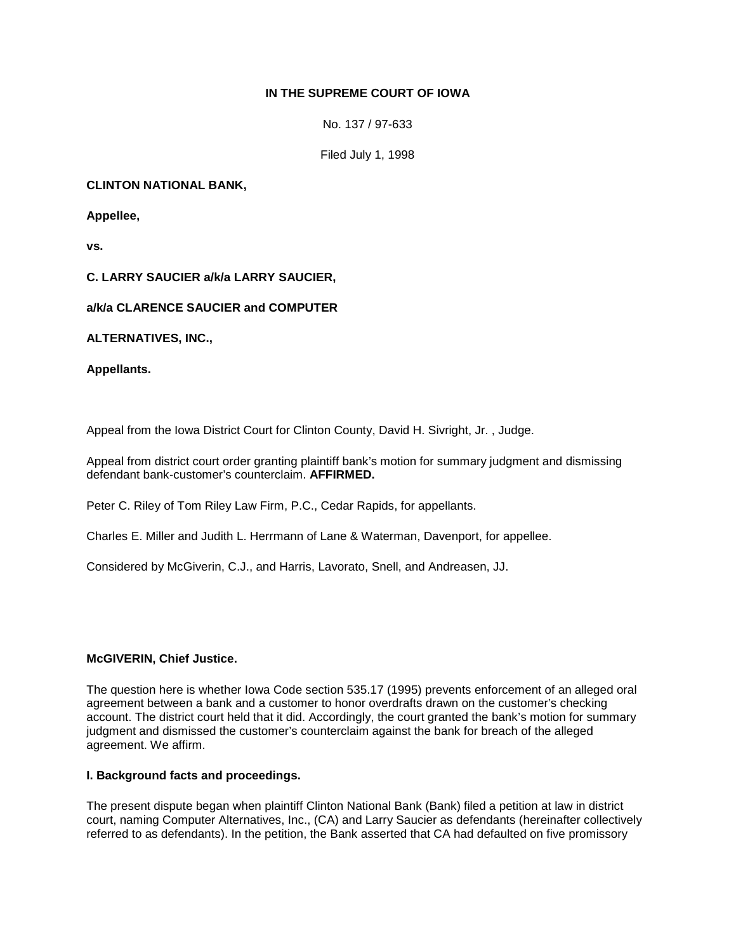# **IN THE SUPREME COURT OF IOWA**

No. 137 / 97-633

Filed July 1, 1998

# **CLINTON NATIONAL BANK,**

**Appellee,** 

**vs.**

### **C. LARRY SAUCIER a/k/a LARRY SAUCIER,**

### **a/k/a CLARENCE SAUCIER and COMPUTER**

**ALTERNATIVES, INC.,**

**Appellants.** 

Appeal from the Iowa District Court for Clinton County, David H. Sivright, Jr. , Judge.

Appeal from district court order granting plaintiff bank's motion for summary judgment and dismissing defendant bank-customer's counterclaim. **AFFIRMED.** 

Peter C. Riley of Tom Riley Law Firm, P.C., Cedar Rapids, for appellants.

Charles E. Miller and Judith L. Herrmann of Lane & Waterman, Davenport, for appellee.

Considered by McGiverin, C.J., and Harris, Lavorato, Snell, and Andreasen, JJ.

# **McGIVERIN, Chief Justice.**

The question here is whether Iowa Code section 535.17 (1995) prevents enforcement of an alleged oral agreement between a bank and a customer to honor overdrafts drawn on the customer's checking account. The district court held that it did. Accordingly, the court granted the bank's motion for summary judgment and dismissed the customer's counterclaim against the bank for breach of the alleged agreement. We affirm.

#### **I. Background facts and proceedings.**

The present dispute began when plaintiff Clinton National Bank (Bank) filed a petition at law in district court, naming Computer Alternatives, Inc., (CA) and Larry Saucier as defendants (hereinafter collectively referred to as defendants). In the petition, the Bank asserted that CA had defaulted on five promissory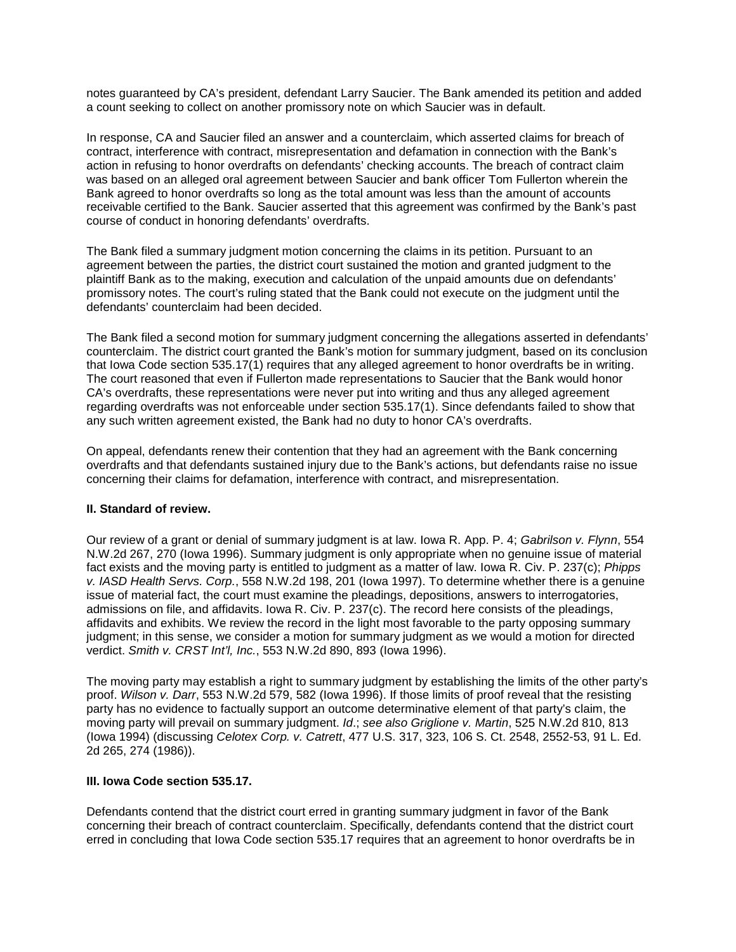notes guaranteed by CA's president, defendant Larry Saucier. The Bank amended its petition and added a count seeking to collect on another promissory note on which Saucier was in default.

In response, CA and Saucier filed an answer and a counterclaim, which asserted claims for breach of contract, interference with contract, misrepresentation and defamation in connection with the Bank's action in refusing to honor overdrafts on defendants' checking accounts. The breach of contract claim was based on an alleged oral agreement between Saucier and bank officer Tom Fullerton wherein the Bank agreed to honor overdrafts so long as the total amount was less than the amount of accounts receivable certified to the Bank. Saucier asserted that this agreement was confirmed by the Bank's past course of conduct in honoring defendants' overdrafts.

The Bank filed a summary judgment motion concerning the claims in its petition. Pursuant to an agreement between the parties, the district court sustained the motion and granted judgment to the plaintiff Bank as to the making, execution and calculation of the unpaid amounts due on defendants' promissory notes. The court's ruling stated that the Bank could not execute on the judgment until the defendants' counterclaim had been decided.

The Bank filed a second motion for summary judgment concerning the allegations asserted in defendants' counterclaim. The district court granted the Bank's motion for summary judgment, based on its conclusion that Iowa Code section 535.17(1) requires that any alleged agreement to honor overdrafts be in writing. The court reasoned that even if Fullerton made representations to Saucier that the Bank would honor CA's overdrafts, these representations were never put into writing and thus any alleged agreement regarding overdrafts was not enforceable under section 535.17(1). Since defendants failed to show that any such written agreement existed, the Bank had no duty to honor CA's overdrafts.

On appeal, defendants renew their contention that they had an agreement with the Bank concerning overdrafts and that defendants sustained injury due to the Bank's actions, but defendants raise no issue concerning their claims for defamation, interference with contract, and misrepresentation.

#### **II. Standard of review.**

Our review of a grant or denial of summary judgment is at law. Iowa R. App. P. 4; *Gabrilson v. Flynn*, 554 N.W.2d 267, 270 (Iowa 1996). Summary judgment is only appropriate when no genuine issue of material fact exists and the moving party is entitled to judgment as a matter of law. Iowa R. Civ. P. 237(c); *Phipps v. IASD Health Servs. Corp.*, 558 N.W.2d 198, 201 (Iowa 1997). To determine whether there is a genuine issue of material fact, the court must examine the pleadings, depositions, answers to interrogatories, admissions on file, and affidavits. Iowa R. Civ. P. 237(c). The record here consists of the pleadings, affidavits and exhibits. We review the record in the light most favorable to the party opposing summary judgment; in this sense, we consider a motion for summary judgment as we would a motion for directed verdict. *Smith v. CRST Int'l, Inc.*, 553 N.W.2d 890, 893 (Iowa 1996).

The moving party may establish a right to summary judgment by establishing the limits of the other party's proof. *Wilson v. Darr*, 553 N.W.2d 579, 582 (Iowa 1996). If those limits of proof reveal that the resisting party has no evidence to factually support an outcome determinative element of that party's claim, the moving party will prevail on summary judgment. *Id*.; *see also Griglione v. Martin*, 525 N.W.2d 810, 813 (Iowa 1994) (discussing *Celotex Corp. v. Catrett*, 477 U.S. 317, 323, 106 S. Ct. 2548, 2552-53, 91 L. Ed. 2d 265, 274 (1986)).

#### **III. Iowa Code section 535.17.**

Defendants contend that the district court erred in granting summary judgment in favor of the Bank concerning their breach of contract counterclaim. Specifically, defendants contend that the district court erred in concluding that Iowa Code section 535.17 requires that an agreement to honor overdrafts be in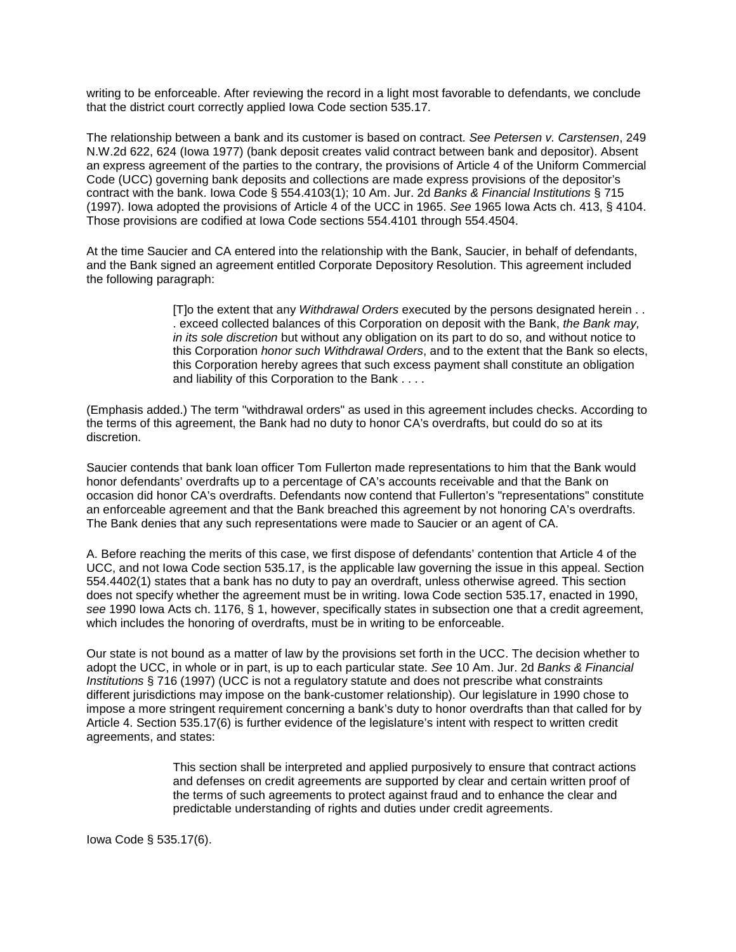writing to be enforceable. After reviewing the record in a light most favorable to defendants, we conclude that the district court correctly applied Iowa Code section 535.17.

The relationship between a bank and its customer is based on contract. *See Petersen v. Carstensen*, 249 N.W.2d 622, 624 (Iowa 1977) (bank deposit creates valid contract between bank and depositor). Absent an express agreement of the parties to the contrary, the provisions of Article 4 of the Uniform Commercial Code (UCC) governing bank deposits and collections are made express provisions of the depositor's contract with the bank. Iowa Code § 554.4103(1); 10 Am. Jur. 2d *Banks & Financial Institutions* § 715 (1997). Iowa adopted the provisions of Article 4 of the UCC in 1965. *See* 1965 Iowa Acts ch. 413, § 4104. Those provisions are codified at Iowa Code sections 554.4101 through 554.4504.

At the time Saucier and CA entered into the relationship with the Bank, Saucier, in behalf of defendants, and the Bank signed an agreement entitled Corporate Depository Resolution. This agreement included the following paragraph:

> [T]o the extent that any *Withdrawal Orders* executed by the persons designated herein . . . exceed collected balances of this Corporation on deposit with the Bank, *the Bank may, in its sole discretion* but without any obligation on its part to do so, and without notice to this Corporation *honor such Withdrawal Orders*, and to the extent that the Bank so elects, this Corporation hereby agrees that such excess payment shall constitute an obligation and liability of this Corporation to the Bank . . . .

(Emphasis added.) The term "withdrawal orders" as used in this agreement includes checks. According to the terms of this agreement, the Bank had no duty to honor CA's overdrafts, but could do so at its discretion.

Saucier contends that bank loan officer Tom Fullerton made representations to him that the Bank would honor defendants' overdrafts up to a percentage of CA's accounts receivable and that the Bank on occasion did honor CA's overdrafts. Defendants now contend that Fullerton's "representations" constitute an enforceable agreement and that the Bank breached this agreement by not honoring CA's overdrafts. The Bank denies that any such representations were made to Saucier or an agent of CA.

A. Before reaching the merits of this case, we first dispose of defendants' contention that Article 4 of the UCC, and not Iowa Code section 535.17, is the applicable law governing the issue in this appeal. Section 554.4402(1) states that a bank has no duty to pay an overdraft, unless otherwise agreed. This section does not specify whether the agreement must be in writing. Iowa Code section 535.17, enacted in 1990, *see* 1990 Iowa Acts ch. 1176, § 1, however, specifically states in subsection one that a credit agreement, which includes the honoring of overdrafts, must be in writing to be enforceable.

Our state is not bound as a matter of law by the provisions set forth in the UCC. The decision whether to adopt the UCC, in whole or in part, is up to each particular state. *See* 10 Am. Jur. 2d *Banks & Financial Institutions* § 716 (1997) (UCC is not a regulatory statute and does not prescribe what constraints different jurisdictions may impose on the bank-customer relationship). Our legislature in 1990 chose to impose a more stringent requirement concerning a bank's duty to honor overdrafts than that called for by Article 4. Section 535.17(6) is further evidence of the legislature's intent with respect to written credit agreements, and states:

> This section shall be interpreted and applied purposively to ensure that contract actions and defenses on credit agreements are supported by clear and certain written proof of the terms of such agreements to protect against fraud and to enhance the clear and predictable understanding of rights and duties under credit agreements.

Iowa Code § 535.17(6).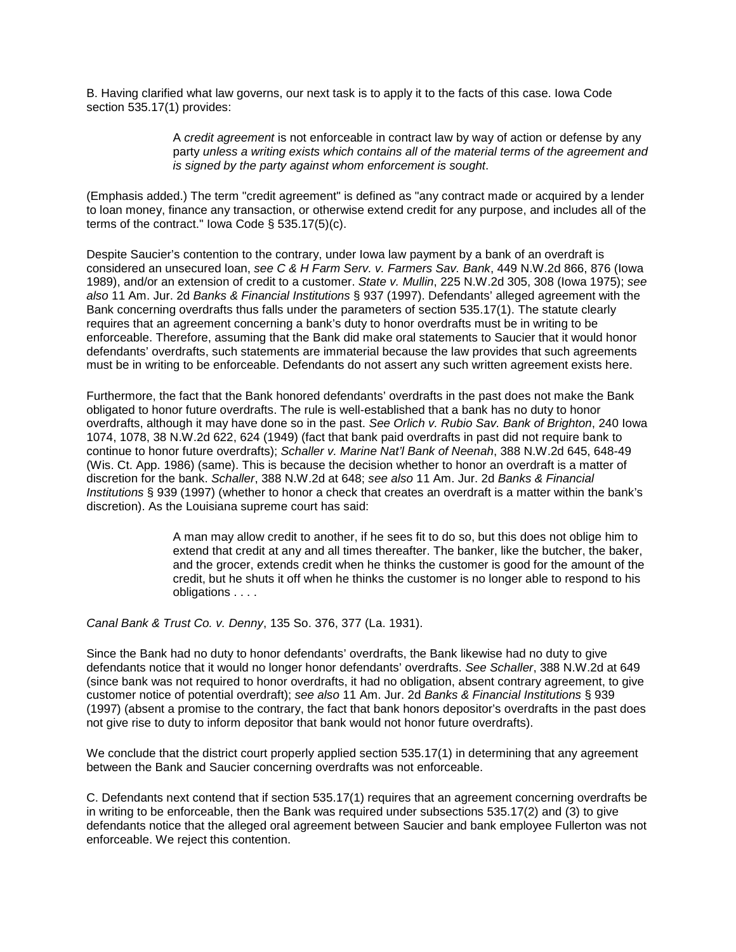B. Having clarified what law governs, our next task is to apply it to the facts of this case. Iowa Code section 535.17(1) provides:

> A *credit agreement* is not enforceable in contract law by way of action or defense by any party *unless a writing exists which contains all of the material terms of the agreement and is signed by the party against whom enforcement is sought*.

(Emphasis added.) The term "credit agreement" is defined as "any contract made or acquired by a lender to loan money, finance any transaction, or otherwise extend credit for any purpose, and includes all of the terms of the contract." Iowa Code § 535.17(5)(c).

Despite Saucier's contention to the contrary, under Iowa law payment by a bank of an overdraft is considered an unsecured loan, *see C & H Farm Serv. v. Farmers Sav. Bank*, 449 N.W.2d 866, 876 (Iowa 1989), and/or an extension of credit to a customer. *State v. Mullin*, 225 N.W.2d 305, 308 (Iowa 1975); *see also* 11 Am. Jur. 2d *Banks & Financial Institutions* § 937 (1997). Defendants' alleged agreement with the Bank concerning overdrafts thus falls under the parameters of section 535.17(1). The statute clearly requires that an agreement concerning a bank's duty to honor overdrafts must be in writing to be enforceable. Therefore, assuming that the Bank did make oral statements to Saucier that it would honor defendants' overdrafts, such statements are immaterial because the law provides that such agreements must be in writing to be enforceable. Defendants do not assert any such written agreement exists here.

Furthermore, the fact that the Bank honored defendants' overdrafts in the past does not make the Bank obligated to honor future overdrafts. The rule is well-established that a bank has no duty to honor overdrafts, although it may have done so in the past. *See Orlich v. Rubio Sav. Bank of Brighton*, 240 Iowa 1074, 1078, 38 N.W.2d 622, 624 (1949) (fact that bank paid overdrafts in past did not require bank to continue to honor future overdrafts); *Schaller v. Marine Nat'l Bank of Neenah*, 388 N.W.2d 645, 648-49 (Wis. Ct. App. 1986) (same). This is because the decision whether to honor an overdraft is a matter of discretion for the bank. *Schaller*, 388 N.W.2d at 648; *see also* 11 Am. Jur. 2d *Banks & Financial Institutions* § 939 (1997) (whether to honor a check that creates an overdraft is a matter within the bank's discretion). As the Louisiana supreme court has said:

> A man may allow credit to another, if he sees fit to do so, but this does not oblige him to extend that credit at any and all times thereafter. The banker, like the butcher, the baker, and the grocer, extends credit when he thinks the customer is good for the amount of the credit, but he shuts it off when he thinks the customer is no longer able to respond to his obligations . . . .

*Canal Bank & Trust Co. v. Denny*, 135 So. 376, 377 (La. 1931).

Since the Bank had no duty to honor defendants' overdrafts, the Bank likewise had no duty to give defendants notice that it would no longer honor defendants' overdrafts. *See Schaller*, 388 N.W.2d at 649 (since bank was not required to honor overdrafts, it had no obligation, absent contrary agreement, to give customer notice of potential overdraft); *see also* 11 Am. Jur. 2d *Banks & Financial Institutions* § 939 (1997) (absent a promise to the contrary, the fact that bank honors depositor's overdrafts in the past does not give rise to duty to inform depositor that bank would not honor future overdrafts).

We conclude that the district court properly applied section 535.17(1) in determining that any agreement between the Bank and Saucier concerning overdrafts was not enforceable.

C. Defendants next contend that if section 535.17(1) requires that an agreement concerning overdrafts be in writing to be enforceable, then the Bank was required under subsections 535.17(2) and (3) to give defendants notice that the alleged oral agreement between Saucier and bank employee Fullerton was not enforceable. We reject this contention.